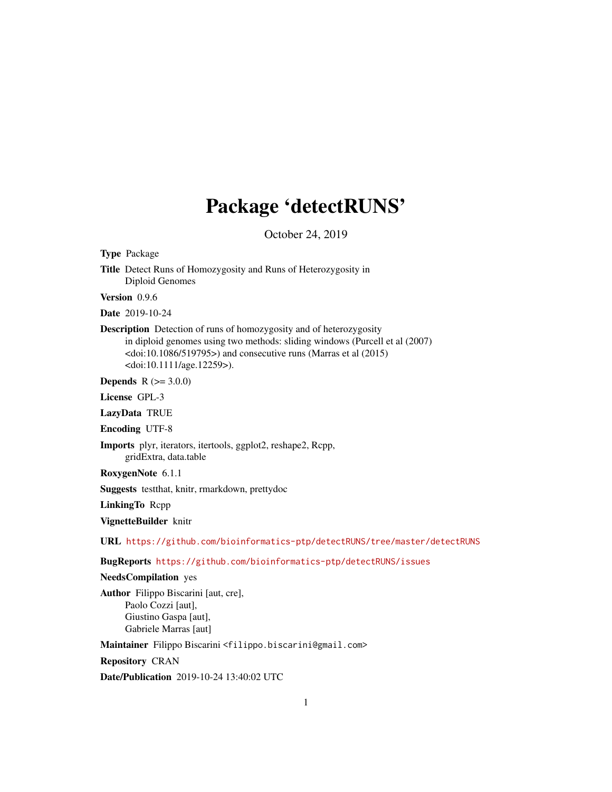# Package 'detectRUNS'

October 24, 2019

Type Package Title Detect Runs of Homozygosity and Runs of Heterozygosity in Diploid Genomes

Version 0.9.6

Date 2019-10-24

Description Detection of runs of homozygosity and of heterozygosity in diploid genomes using two methods: sliding windows (Purcell et al (2007)  $\langle \text{doi:10.1086/519795} \rangle$  and consecutive runs (Marras et al (2015) <doi:10.1111/age.12259>).

**Depends**  $R$  ( $>= 3.0.0$ )

License GPL-3

LazyData TRUE

Encoding UTF-8

Imports plyr, iterators, itertools, ggplot2, reshape2, Rcpp,

gridExtra, data.table

RoxygenNote 6.1.1

Suggests testthat, knitr, rmarkdown, prettydoc

LinkingTo Rcpp

VignetteBuilder knitr

URL <https://github.com/bioinformatics-ptp/detectRUNS/tree/master/detectRUNS>

BugReports <https://github.com/bioinformatics-ptp/detectRUNS/issues>

# NeedsCompilation yes

Author Filippo Biscarini [aut, cre], Paolo Cozzi [aut], Giustino Gaspa [aut], Gabriele Marras [aut]

Maintainer Filippo Biscarini <filippo.biscarini@gmail.com>

Repository CRAN

Date/Publication 2019-10-24 13:40:02 UTC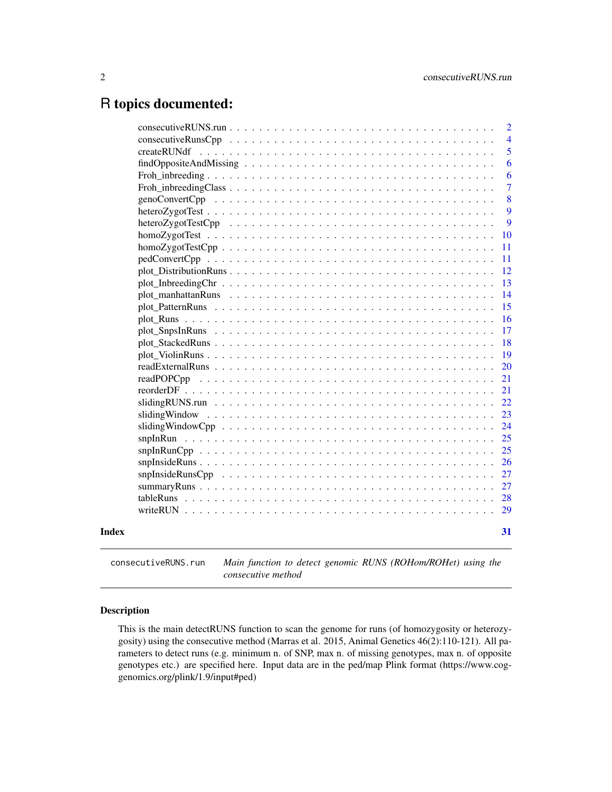# <span id="page-1-0"></span>R topics documented:

|       | $\overline{2}$<br>$\overline{4}$ |
|-------|----------------------------------|
|       | 5                                |
|       | 6                                |
|       | 6                                |
|       | $\overline{7}$                   |
|       | 8<br>genoConvertCpp              |
|       | 9                                |
|       | 9                                |
|       | 10                               |
|       | 11                               |
|       | 11                               |
|       | 12                               |
|       | 13                               |
|       | 14                               |
|       | 15                               |
|       | 16                               |
|       | 17                               |
|       | 18                               |
|       | 19                               |
|       | 20                               |
|       | 21                               |
|       | 21                               |
|       | 22                               |
|       | 23                               |
|       | 24                               |
|       | 25                               |
|       | 25                               |
|       | 26                               |
|       | 27                               |
|       | 27                               |
|       | -28                              |
|       | 29                               |
| Index | 31                               |
|       |                                  |

consecutiveRUNS.run *Main function to detect genomic RUNS (ROHom/ROHet) using the consecutive method*

# Description

This is the main detectRUNS function to scan the genome for runs (of homozygosity or heterozygosity) using the consecutive method (Marras et al. 2015, Animal Genetics 46(2):110-121). All parameters to detect runs (e.g. minimum n. of SNP, max n. of missing genotypes, max n. of opposite genotypes etc.) are specified here. Input data are in the ped/map Plink format (https://www.coggenomics.org/plink/1.9/input#ped)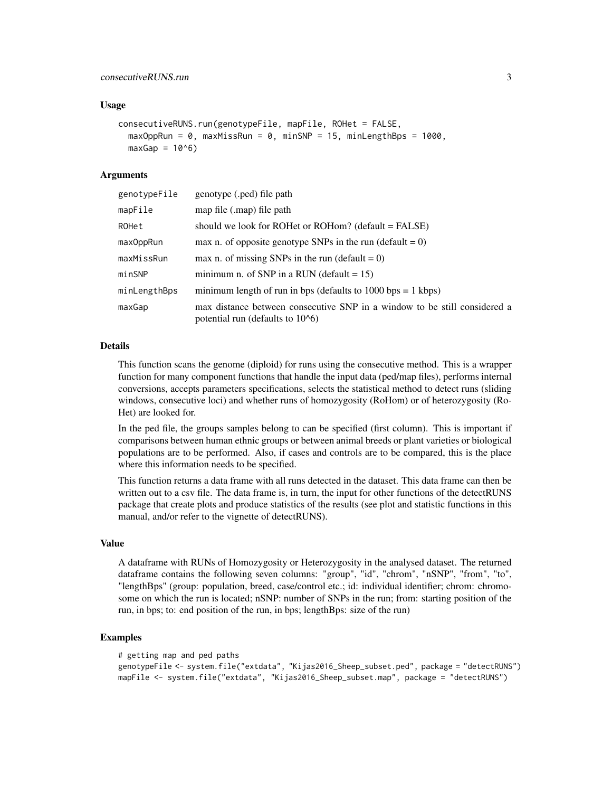## Usage

```
consecutiveRUNS.run(genotypeFile, mapFile, ROHet = FALSE,
 maxOppRun = 0, maxMissRun = 0, minSNP = 15, minLengthBps = 1000,
 maxGap = 10^6)
```
## Arguments

| genotypeFile | genotype (.ped) file path                                                                                       |
|--------------|-----------------------------------------------------------------------------------------------------------------|
| mapFile      | map file (.map) file path                                                                                       |
| ROHet        | should we look for ROHet or ROHom? (default = FALSE)                                                            |
| max0ppRun    | max n. of opposite genotype SNPs in the run (default = $0$ )                                                    |
| maxMissRun   | max n. of missing SNPs in the run (default = $0$ )                                                              |
| minSNP       | minimum n. of SNP in a RUN (default $= 15$ )                                                                    |
| minLengthBps | minimum length of run in bps (defaults to $1000$ bps = 1 kbps)                                                  |
| maxGap       | max distance between consecutive SNP in a window to be still considered a<br>potential run (defaults to $106$ ) |

# Details

This function scans the genome (diploid) for runs using the consecutive method. This is a wrapper function for many component functions that handle the input data (ped/map files), performs internal conversions, accepts parameters specifications, selects the statistical method to detect runs (sliding windows, consecutive loci) and whether runs of homozygosity (RoHom) or of heterozygosity (Ro-Het) are looked for.

In the ped file, the groups samples belong to can be specified (first column). This is important if comparisons between human ethnic groups or between animal breeds or plant varieties or biological populations are to be performed. Also, if cases and controls are to be compared, this is the place where this information needs to be specified.

This function returns a data frame with all runs detected in the dataset. This data frame can then be written out to a csv file. The data frame is, in turn, the input for other functions of the detectRUNS package that create plots and produce statistics of the results (see plot and statistic functions in this manual, and/or refer to the vignette of detectRUNS).

## Value

A dataframe with RUNs of Homozygosity or Heterozygosity in the analysed dataset. The returned dataframe contains the following seven columns: "group", "id", "chrom", "nSNP", "from", "to", "lengthBps" (group: population, breed, case/control etc.; id: individual identifier; chrom: chromosome on which the run is located; nSNP: number of SNPs in the run; from: starting position of the run, in bps; to: end position of the run, in bps; lengthBps: size of the run)

```
# getting map and ped paths
genotypeFile <- system.file("extdata", "Kijas2016_Sheep_subset.ped", package = "detectRUNS")
mapFile <- system.file("extdata", "Kijas2016_Sheep_subset.map", package = "detectRUNS")
```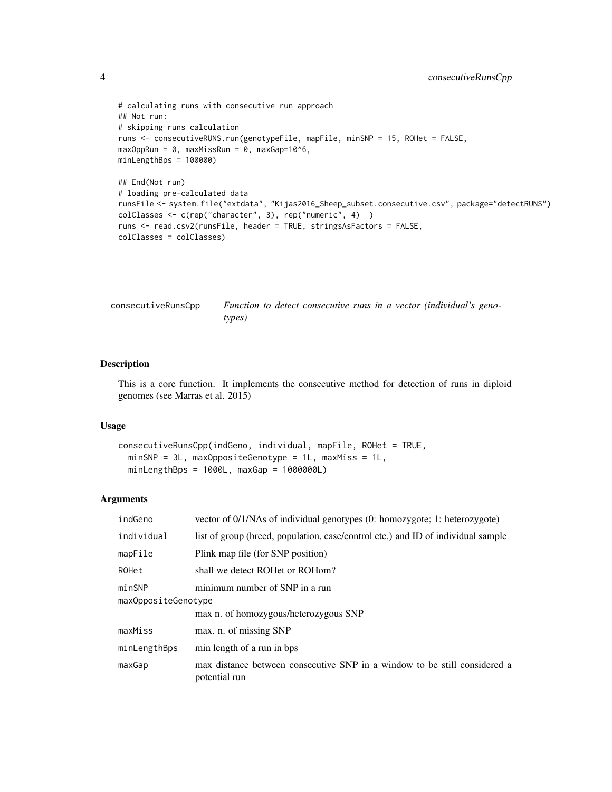```
# calculating runs with consecutive run approach
## Not run:
# skipping runs calculation
runs <- consecutiveRUNS.run(genotypeFile, mapFile, minSNP = 15, ROHet = FALSE,
maxOppRun = 0, maxMissRun = 0, maxGap=10^{6},
minLengthBps = 100000)
## End(Not run)
# loading pre-calculated data
runsFile <- system.file("extdata", "Kijas2016_Sheep_subset.consecutive.csv", package="detectRUNS")
colClasses <- c(rep("character", 3), rep("numeric", 4) )
runs <- read.csv2(runsFile, header = TRUE, stringsAsFactors = FALSE,
colClasses = colClasses)
```

| consecutiveRunsCpp | Function to detect consecutive runs in a vector (individual's geno- |
|--------------------|---------------------------------------------------------------------|
|                    | types)                                                              |

# Description

This is a core function. It implements the consecutive method for detection of runs in diploid genomes (see Marras et al. 2015)

# Usage

```
consecutiveRunsCpp(indGeno, individual, mapFile, ROHet = TRUE,
 minSNP = 3L, maxOppositeGenotype = 1L, maxMiss = 1L,
 minLengthBps = 1000L, maxGap = 1000000L
```
#### Arguments

| indGeno             | vector of 0/1/NAs of individual genotypes (0: homozygote; 1: heterozygote)                 |  |
|---------------------|--------------------------------------------------------------------------------------------|--|
| individual          | list of group (breed, population, case/control etc.) and ID of individual sample           |  |
| mapFile             | Plink map file (for SNP position)                                                          |  |
| ROHet               | shall we detect ROHet or ROHom?                                                            |  |
| minSNP              | minimum number of SNP in a run                                                             |  |
| maxOppositeGenotype |                                                                                            |  |
|                     | max n. of homozygous/heterozygous SNP                                                      |  |
| maxMiss             | max. n. of missing SNP                                                                     |  |
| minLengthBps        | min length of a run in bps                                                                 |  |
| maxGap              | max distance between consecutive SNP in a window to be still considered a<br>potential run |  |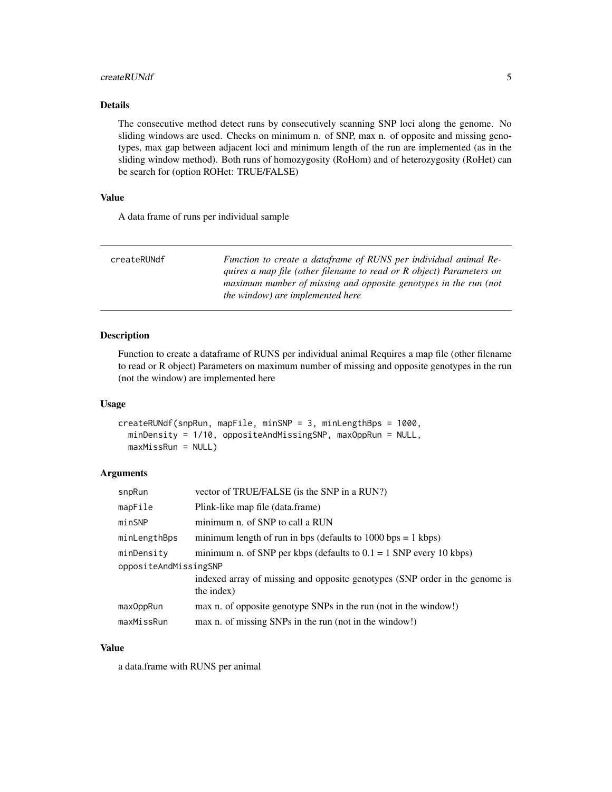#### <span id="page-4-0"></span>createRUNdf 5

# Details

The consecutive method detect runs by consecutively scanning SNP loci along the genome. No sliding windows are used. Checks on minimum n. of SNP, max n. of opposite and missing genotypes, max gap between adjacent loci and minimum length of the run are implemented (as in the sliding window method). Both runs of homozygosity (RoHom) and of heterozygosity (RoHet) can be search for (option ROHet: TRUE/FALSE)

# Value

A data frame of runs per individual sample

| createRUNdf | Function to create a dataframe of RUNS per individual animal Re-     |
|-------------|----------------------------------------------------------------------|
|             | quires a map file (other filename to read or R object) Parameters on |
|             | maximum number of missing and opposite genotypes in the run (not     |
|             | <i>the window) are implemented here</i>                              |

# Description

Function to create a dataframe of RUNS per individual animal Requires a map file (other filename to read or R object) Parameters on maximum number of missing and opposite genotypes in the run (not the window) are implemented here

#### Usage

```
createRUNdf(snpRun, mapFile, minSNP = 3, minLengthBps = 1000,
 minDensity = 1/10, oppositeAndMissingSNP, maxOppRun = NULL,
 maxMissRun = NULL)
```
## Arguments

| vector of TRUE/FALSE (is the SNP in a RUN?)                                               |
|-------------------------------------------------------------------------------------------|
| Plink-like map file (data.frame)                                                          |
| minimum n. of SNP to call a RUN                                                           |
| minimum length of run in bps (defaults to $1000$ bps = 1 kbps)                            |
| minimum n. of SNP per kbps (defaults to $0.1 = 1$ SNP every 10 kbps)                      |
| oppositeAndMissingSNP                                                                     |
| indexed array of missing and opposite genotypes (SNP order in the genome is<br>the index) |
| max n. of opposite genotype SNPs in the run (not in the window!)                          |
| max n. of missing SNPs in the run (not in the window!)                                    |
|                                                                                           |

#### Value

a data.frame with RUNS per animal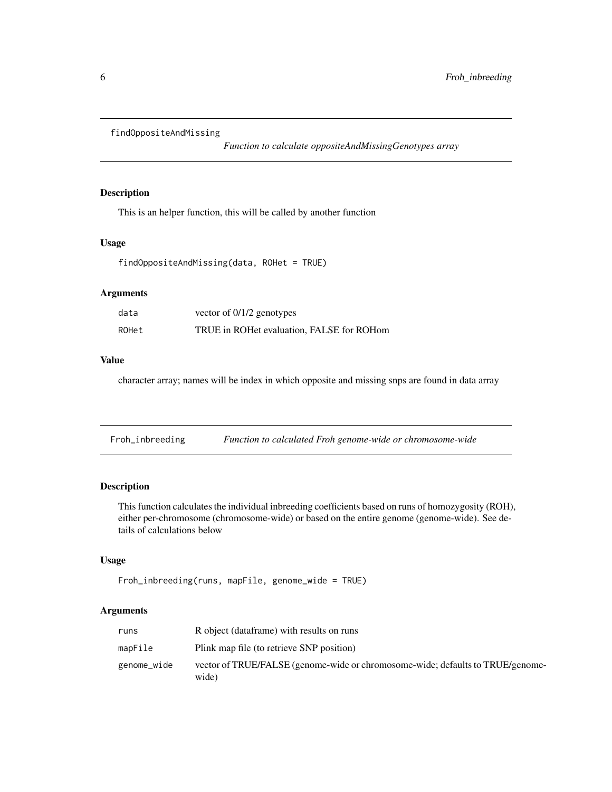```
findOppositeAndMissing
```
*Function to calculate oppositeAndMissingGenotypes array*

# Description

This is an helper function, this will be called by another function

# Usage

```
findOppositeAndMissing(data, ROHet = TRUE)
```
# Arguments

| data  | vector of $0/1/2$ genotypes               |
|-------|-------------------------------------------|
| ROHet | TRUE in ROHet evaluation, FALSE for ROHom |

# Value

character array; names will be index in which opposite and missing snps are found in data array

Froh\_inbreeding *Function to calculated Froh genome-wide or chromosome-wide*

# Description

This function calculates the individual inbreeding coefficients based on runs of homozygosity (ROH), either per-chromosome (chromosome-wide) or based on the entire genome (genome-wide). See details of calculations below

## Usage

```
Froh_inbreeding(runs, mapFile, genome_wide = TRUE)
```
# Arguments

| runs        | R object (dataframe) with results on runs                                               |
|-------------|-----------------------------------------------------------------------------------------|
| mapFile     | Plink map file (to retrieve SNP position)                                               |
| genome_wide | vector of TRUE/FALSE (genome-wide or chromosome-wide; defaults to TRUE/genome-<br>wide) |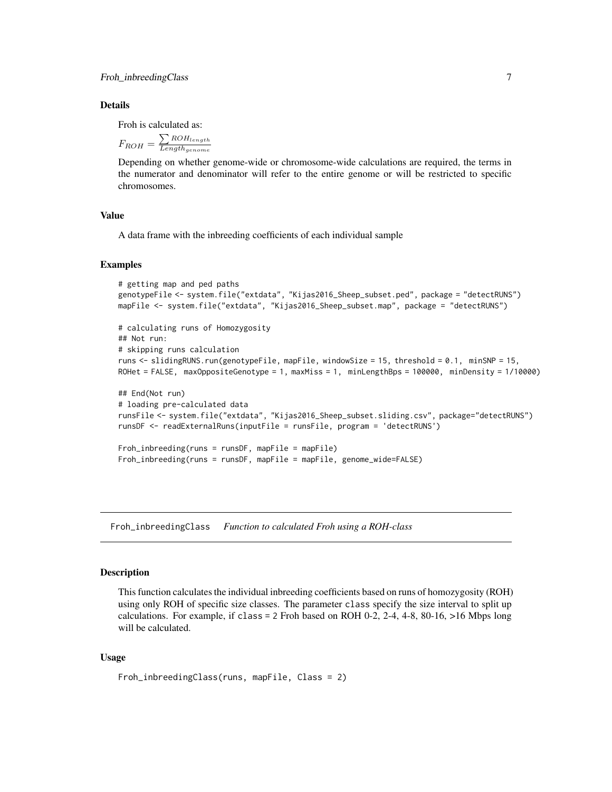#### <span id="page-6-0"></span>Details

Froh is calculated as:

$$
F_{ROH} = \frac{\sum_{RoH_{length}}}{Length_{genome}}
$$

Depending on whether genome-wide or chromosome-wide calculations are required, the terms in the numerator and denominator will refer to the entire genome or will be restricted to specific chromosomes.

## Value

A data frame with the inbreeding coefficients of each individual sample

## Examples

```
# getting map and ped paths
genotypeFile <- system.file("extdata", "Kijas2016_Sheep_subset.ped", package = "detectRUNS")
mapFile <- system.file("extdata", "Kijas2016_Sheep_subset.map", package = "detectRUNS")
# calculating runs of Homozygosity
## Not run:
# skipping runs calculation
runs <- slidingRUNS.run(genotypeFile, mapFile, windowSize = 15, threshold = 0.1, minSNP = 15,
ROHet = FALSE, maxOppositeGenotype = 1, maxMiss = 1, minLengthBps = 100000, minDensity = 1/10000)
## End(Not run)
# loading pre-calculated data
runsFile <- system.file("extdata", "Kijas2016_Sheep_subset.sliding.csv", package="detectRUNS")
runsDF <- readExternalRuns(inputFile = runsFile, program = 'detectRUNS')
Froh_inbreeding(runs = runsDF, mapFile = mapFile)
Froh_inbreeding(runs = runsDF, mapFile = mapFile, genome_wide=FALSE)
```
Froh\_inbreedingClass *Function to calculated Froh using a ROH-class*

#### Description

This function calculates the individual inbreeding coefficients based on runs of homozygosity (ROH) using only ROH of specific size classes. The parameter class specify the size interval to split up calculations. For example, if class = 2 Froh based on ROH 0-2, 2-4, 4-8, 80-16, >16 Mbps long will be calculated.

## Usage

```
Froh_inbreedingClass(runs, mapFile, Class = 2)
```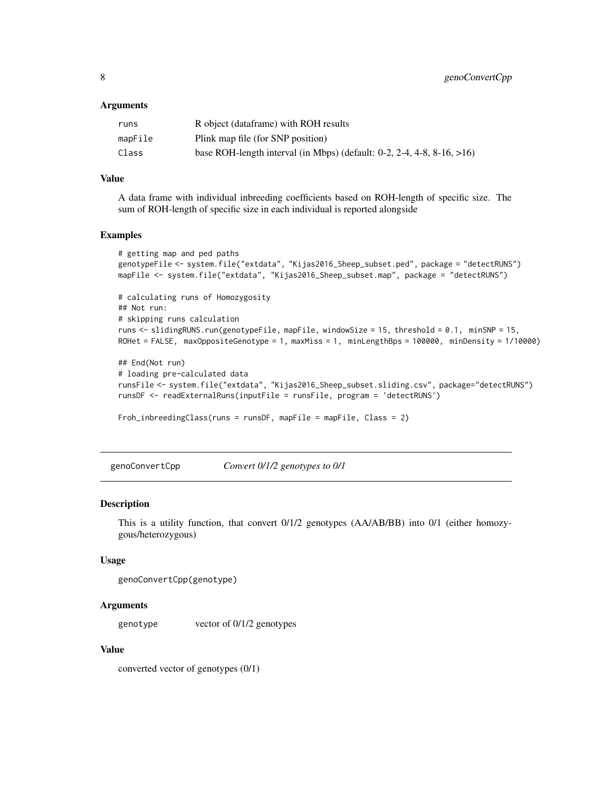## <span id="page-7-0"></span>Arguments

| runs    | R object (dataframe) with ROH results                                                 |
|---------|---------------------------------------------------------------------------------------|
| mapFile | Plink map file (for SNP position)                                                     |
| Class   | base ROH-length interval (in Mbps) (default: $0-2$ , $2-4$ , $4-8$ , $8-16$ , $>16$ ) |

## Value

A data frame with individual inbreeding coefficients based on ROH-length of specific size. The sum of ROH-length of specific size in each individual is reported alongside

## Examples

```
# getting map and ped paths
genotypeFile <- system.file("extdata", "Kijas2016_Sheep_subset.ped", package = "detectRUNS")
mapFile <- system.file("extdata", "Kijas2016_Sheep_subset.map", package = "detectRUNS")
# calculating runs of Homozygosity
## Not run:
# skipping runs calculation
runs <- slidingRUNS.run(genotypeFile, mapFile, windowSize = 15, threshold = 0.1, minSNP = 15,
ROHet = FALSE, maxOppositeGenotype = 1, maxMiss = 1, minLengthBps = 100000, minDensity = 1/10000)
## End(Not run)
# loading pre-calculated data
```

```
runsFile <- system.file("extdata", "Kijas2016_Sheep_subset.sliding.csv", package="detectRUNS")
runsDF <- readExternalRuns(inputFile = runsFile, program = 'detectRUNS')
```
Froh\_inbreedingClass(runs = runsDF, mapFile = mapFile, Class = 2)

genoConvertCpp *Convert 0/1/2 genotypes to 0/1*

#### Description

This is a utility function, that convert 0/1/2 genotypes (AA/AB/BB) into 0/1 (either homozygous/heterozygous)

# Usage

```
genoConvertCpp(genotype)
```
## Arguments

genotype vector of 0/1/2 genotypes

# Value

converted vector of genotypes (0/1)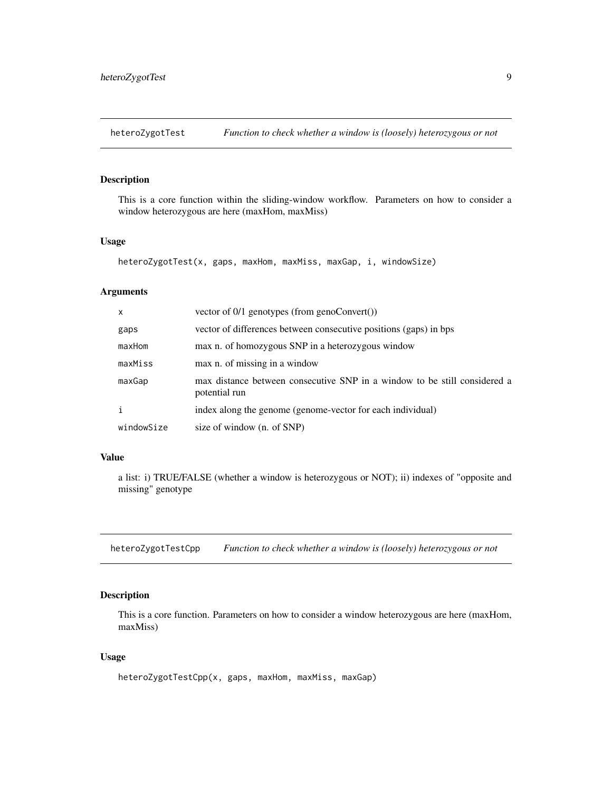<span id="page-8-0"></span>

## Description

This is a core function within the sliding-window workflow. Parameters on how to consider a window heterozygous are here (maxHom, maxMiss)

# Usage

```
heteroZygotTest(x, gaps, maxHom, maxMiss, maxGap, i, windowSize)
```
# Arguments

| $\mathsf{x}$ | vector of $0/1$ genotypes (from genoConvert())                                             |
|--------------|--------------------------------------------------------------------------------------------|
| gaps         | vector of differences between consecutive positions (gaps) in bps                          |
| maxHom       | max n. of homozygous SNP in a heterozygous window                                          |
| maxMiss      | max n. of missing in a window                                                              |
| maxGap       | max distance between consecutive SNP in a window to be still considered a<br>potential run |
| i            | index along the genome (genome-vector for each individual)                                 |
| windowSize   | size of window (n. of SNP)                                                                 |

## Value

a list: i) TRUE/FALSE (whether a window is heterozygous or NOT); ii) indexes of "opposite and missing" genotype

heteroZygotTestCpp *Function to check whether a window is (loosely) heterozygous or not*

# Description

This is a core function. Parameters on how to consider a window heterozygous are here (maxHom, maxMiss)

## Usage

```
heteroZygotTestCpp(x, gaps, maxHom, maxMiss, maxGap)
```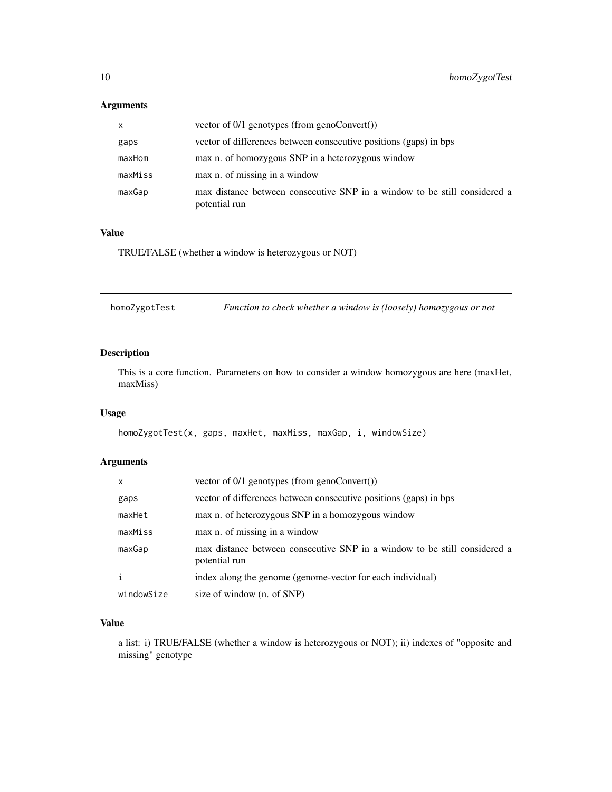# <span id="page-9-0"></span>Arguments

| X       | vector of $0/1$ genotypes (from genoConvert())                                             |
|---------|--------------------------------------------------------------------------------------------|
| gaps    | vector of differences between consecutive positions (gaps) in bps                          |
| maxHom  | max n. of homozygous SNP in a heterozygous window                                          |
| maxMiss | max n. of missing in a window                                                              |
| maxGap  | max distance between consecutive SNP in a window to be still considered a<br>potential run |

## Value

TRUE/FALSE (whether a window is heterozygous or NOT)

homoZygotTest *Function to check whether a window is (loosely) homozygous or not*

# Description

This is a core function. Parameters on how to consider a window homozygous are here (maxHet, maxMiss)

# Usage

homoZygotTest(x, gaps, maxHet, maxMiss, maxGap, i, windowSize)

# Arguments

| $\mathsf{x}$ | vector of $0/1$ genotypes (from genoConvert())                                             |
|--------------|--------------------------------------------------------------------------------------------|
| gaps         | vector of differences between consecutive positions (gaps) in bps                          |
| maxHet       | max n. of heterozygous SNP in a homozygous window                                          |
| maxMiss      | max n. of missing in a window                                                              |
| maxGap       | max distance between consecutive SNP in a window to be still considered a<br>potential run |
| j.           | index along the genome (genome-vector for each individual)                                 |
| windowSize   | size of window (n. of SNP)                                                                 |

## Value

a list: i) TRUE/FALSE (whether a window is heterozygous or NOT); ii) indexes of "opposite and missing" genotype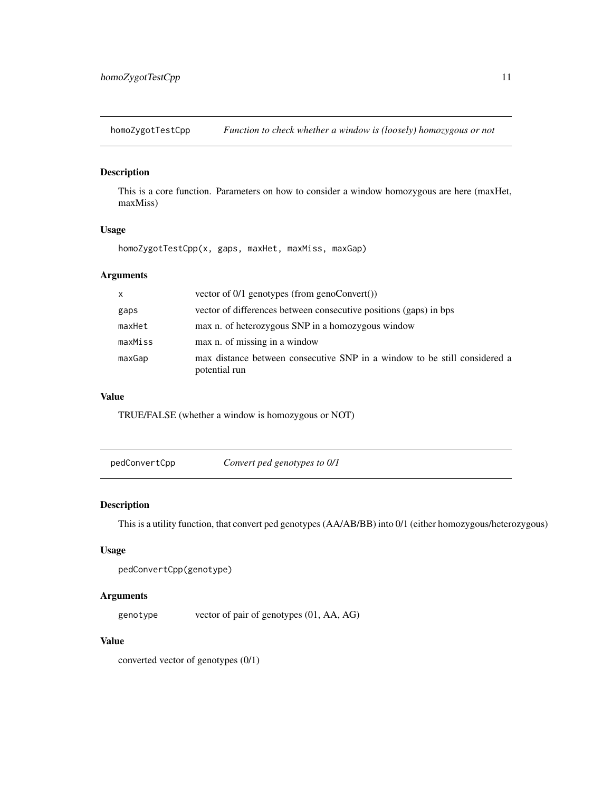<span id="page-10-0"></span>homoZygotTestCpp *Function to check whether a window is (loosely) homozygous or not*

# Description

This is a core function. Parameters on how to consider a window homozygous are here (maxHet, maxMiss)

# Usage

homoZygotTestCpp(x, gaps, maxHet, maxMiss, maxGap)

# Arguments

| $\mathsf{X}$ | vector of $0/1$ genotypes (from genoConvert())                                             |  |
|--------------|--------------------------------------------------------------------------------------------|--|
| gaps         | vector of differences between consecutive positions (gaps) in bps                          |  |
| maxHet       | max n. of heterozygous SNP in a homozygous window                                          |  |
| maxMiss      | max n. of missing in a window                                                              |  |
| maxGap       | max distance between consecutive SNP in a window to be still considered a<br>potential run |  |

## Value

TRUE/FALSE (whether a window is homozygous or NOT)

pedConvertCpp *Convert ped genotypes to 0/1*

# Description

This is a utility function, that convert ped genotypes (AA/AB/BB) into 0/1 (either homozygous/heterozygous)

# Usage

```
pedConvertCpp(genotype)
```
#### Arguments

genotype vector of pair of genotypes (01, AA, AG)

# Value

converted vector of genotypes (0/1)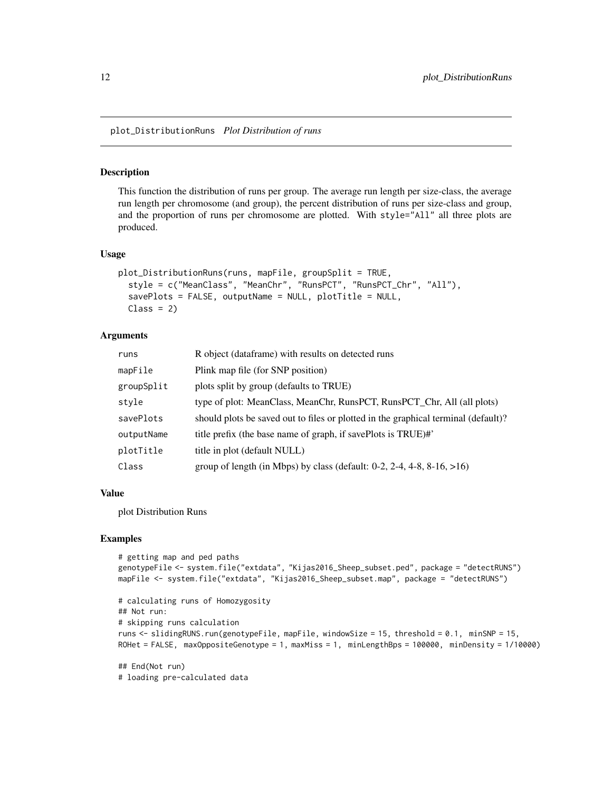<span id="page-11-0"></span>plot\_DistributionRuns *Plot Distribution of runs*

#### Description

This function the distribution of runs per group. The average run length per size-class, the average run length per chromosome (and group), the percent distribution of runs per size-class and group, and the proportion of runs per chromosome are plotted. With style="All" all three plots are produced.

#### Usage

```
plot_DistributionRuns(runs, mapFile, groupSplit = TRUE,
  style = c("MeanClass", "MeanChr", "RunsPCT", "RunsPCT_Chr", "All"),
  savePlots = FALSE, outputName = NULL, plotTitle = NULL,
 Class = 2)
```
### Arguments

| runs       | R object (dataframe) with results on detected runs                                    |  |  |
|------------|---------------------------------------------------------------------------------------|--|--|
| mapFile    | Plink map file (for SNP position)                                                     |  |  |
| groupSplit | plots split by group (defaults to TRUE)                                               |  |  |
| style      | type of plot: MeanClass, MeanChr, RunsPCT, RunsPCT_Chr, All (all plots)               |  |  |
| savePlots  | should plots be saved out to files or plotted in the graphical terminal (default)?    |  |  |
| outputName | title prefix (the base name of graph, if savePlots is TRUE)#'                         |  |  |
| plotTitle  | title in plot (default NULL)                                                          |  |  |
| Class      | group of length (in Mbps) by class (default: $0-2$ , $2-4$ , $4-8$ , $8-16$ , $>16$ ) |  |  |

## Value

plot Distribution Runs

# loading pre-calculated data

```
# getting map and ped paths
genotypeFile <- system.file("extdata", "Kijas2016_Sheep_subset.ped", package = "detectRUNS")
mapFile <- system.file("extdata", "Kijas2016_Sheep_subset.map", package = "detectRUNS")
# calculating runs of Homozygosity
## Not run:
# skipping runs calculation
runs <- slidingRUNS.run(genotypeFile, mapFile, windowSize = 15, threshold = 0.1, minSNP = 15,
ROHet = FALSE, maxOppositeGenotype = 1, maxMiss = 1, minLengthBps = 100000, minDensity = 1/10000)
## End(Not run)
```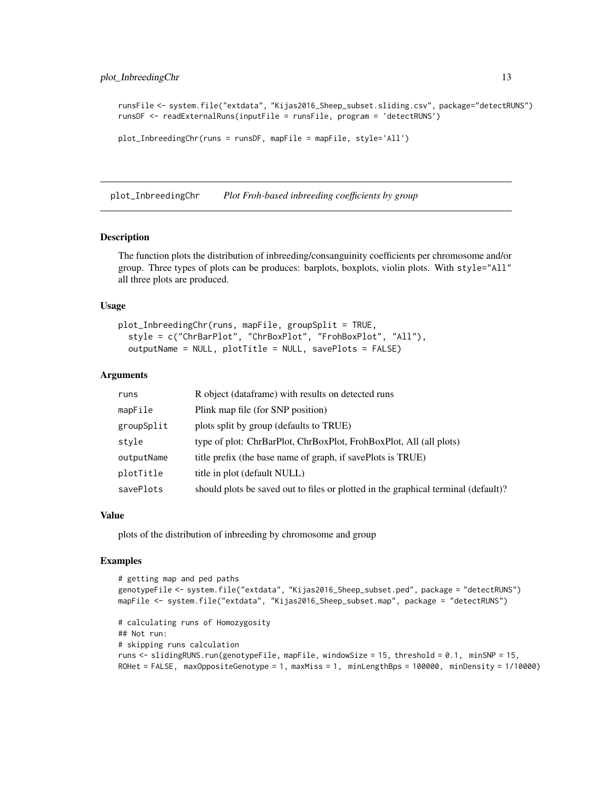```
runsFile <- system.file("extdata", "Kijas2016_Sheep_subset.sliding.csv", package="detectRUNS")
runsDF <- readExternalRuns(inputFile = runsFile, program = 'detectRUNS')
plot_InbreedingChr(runs = runsDF, mapFile = mapFile, style='All')
```
plot\_InbreedingChr *Plot Froh-based inbreeding coefficients by group*

## Description

The function plots the distribution of inbreeding/consanguinity coefficients per chromosome and/or group. Three types of plots can be produces: barplots, boxplots, violin plots. With style="All" all three plots are produced.

#### Usage

```
plot_InbreedingChr(runs, mapFile, groupSplit = TRUE,
  style = c("ChrBarPlot", "ChrBoxPlot", "FrohBoxPlot", "All"),
  outputName = NULL, plotTitle = NULL, savePlots = FALSE)
```
#### Arguments

| runs       | R object (dataframe) with results on detected runs                                 |  |  |
|------------|------------------------------------------------------------------------------------|--|--|
| mapFile    | Plink map file (for SNP position)                                                  |  |  |
| groupSplit | plots split by group (defaults to TRUE)                                            |  |  |
| style      | type of plot: ChrBarPlot, ChrBoxPlot, FrohBoxPlot, All (all plots)                 |  |  |
| outputName | title prefix (the base name of graph, if savePlots is TRUE)                        |  |  |
| plotTitle  | title in plot (default NULL)                                                       |  |  |
| savePlots  | should plots be saved out to files or plotted in the graphical terminal (default)? |  |  |

## Value

plots of the distribution of inbreeding by chromosome and group

```
# getting map and ped paths
genotypeFile <- system.file("extdata", "Kijas2016_Sheep_subset.ped", package = "detectRUNS")
mapFile <- system.file("extdata", "Kijas2016_Sheep_subset.map", package = "detectRUNS")
# calculating runs of Homozygosity
## Not run:
# skipping runs calculation
runs <- slidingRUNS.run(genotypeFile, mapFile, windowSize = 15, threshold = 0.1, minSNP = 15,
ROHet = FALSE, maxOppositeGenotype = 1, maxMiss = 1, minLengthBps = 100000, minDensity = 1/10000)
```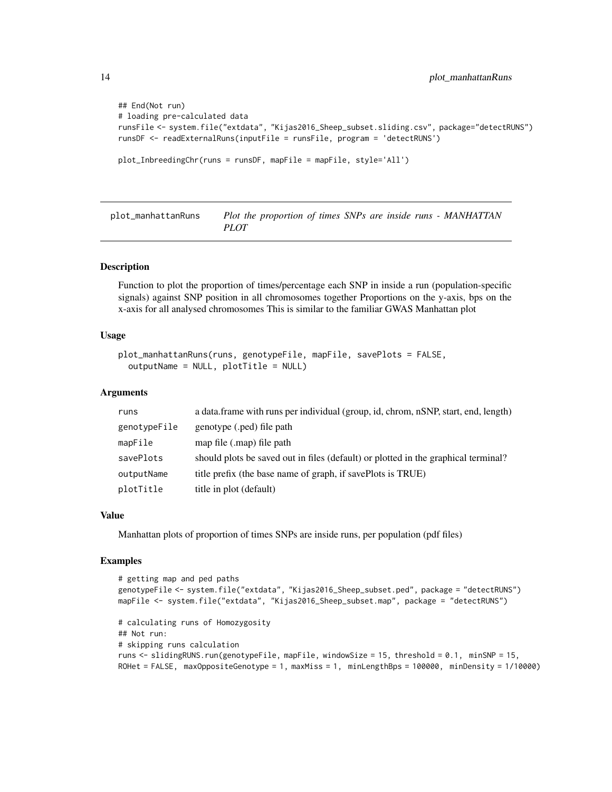```
## End(Not run)
# loading pre-calculated data
runsFile <- system.file("extdata", "Kijas2016_Sheep_subset.sliding.csv", package="detectRUNS")
runsDF <- readExternalRuns(inputFile = runsFile, program = 'detectRUNS')
plot_InbreedingChr(runs = runsDF, mapFile = mapFile, style='All')
```
plot\_manhattanRuns *Plot the proportion of times SNPs are inside runs - MANHATTAN PLOT*

#### Description

Function to plot the proportion of times/percentage each SNP in inside a run (population-specific signals) against SNP position in all chromosomes together Proportions on the y-axis, bps on the x-axis for all analysed chromosomes This is similar to the familiar GWAS Manhattan plot

## Usage

```
plot_manhattanRuns(runs, genotypeFile, mapFile, savePlots = FALSE,
  outputName = NULL, plotTitle = NULL)
```
#### Arguments

| runs         | a data.frame with runs per individual (group, id, chrom, nSNP, start, end, length) |
|--------------|------------------------------------------------------------------------------------|
| genotypeFile | genotype (.ped) file path                                                          |
| mapFile      | map file (.map) file path                                                          |
| savePlots    | should plots be saved out in files (default) or plotted in the graphical terminal? |
| outputName   | title prefix (the base name of graph, if savePlots is TRUE)                        |
| plotTitle    | title in plot (default)                                                            |

## Value

Manhattan plots of proportion of times SNPs are inside runs, per population (pdf files)

```
# getting map and ped paths
genotypeFile <- system.file("extdata", "Kijas2016_Sheep_subset.ped", package = "detectRUNS")
mapFile <- system.file("extdata", "Kijas2016_Sheep_subset.map", package = "detectRUNS")
# calculating runs of Homozygosity
## Not run:
# skipping runs calculation
runs <- slidingRUNS.run(genotypeFile, mapFile, windowSize = 15, threshold = 0.1, minSNP = 15,
ROHet = FALSE, maxOppositeGenotype = 1, maxMiss = 1, minLengthBps = 100000, minDensity = 1/10000)
```
<span id="page-13-0"></span>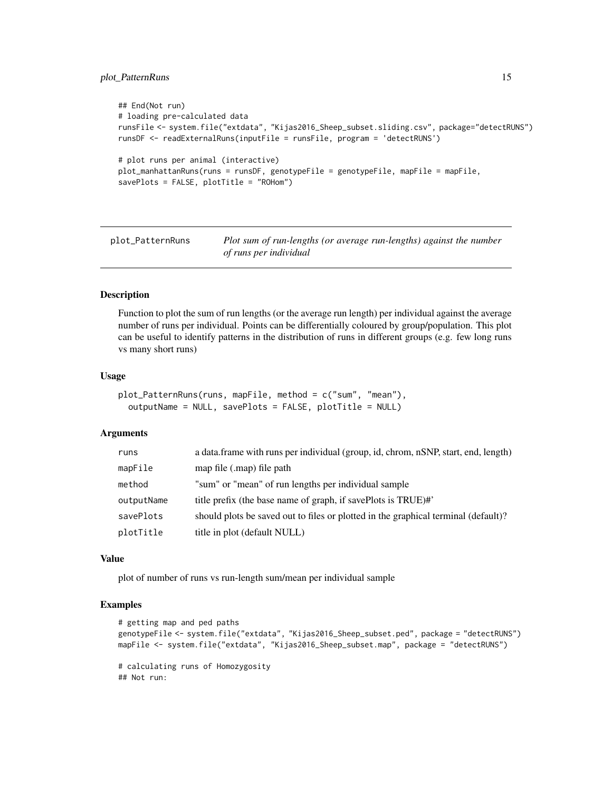# <span id="page-14-0"></span>plot\_PatternRuns 15

```
## End(Not run)
# loading pre-calculated data
runsFile <- system.file("extdata", "Kijas2016_Sheep_subset.sliding.csv", package="detectRUNS")
runsDF <- readExternalRuns(inputFile = runsFile, program = 'detectRUNS')
# plot runs per animal (interactive)
plot_manhattanRuns(runs = runsDF, genotypeFile = genotypeFile, mapFile = mapFile,
savePlots = FALSE, plotTitle = "ROHom")
```
plot\_PatternRuns *Plot sum of run-lengths (or average run-lengths) against the number of runs per individual*

## Description

Function to plot the sum of run lengths (or the average run length) per individual against the average number of runs per individual. Points can be differentially coloured by group/population. This plot can be useful to identify patterns in the distribution of runs in different groups (e.g. few long runs vs many short runs)

#### Usage

```
plot_PatternRuns(runs, mapFile, method = c("sum", "mean"),
 outputName = NULL, savePlots = FALSE, plotTitle = NULL)
```
## Arguments

| runs       | a data.frame with runs per individual (group, id, chrom, nSNP, start, end, length) |
|------------|------------------------------------------------------------------------------------|
| mapFile    | map file (.map) file path                                                          |
| method     | "sum" or "mean" of run lengths per individual sample                               |
| outputName | title prefix (the base name of graph, if savePlots is TRUE)#'                      |
| savePlots  | should plots be saved out to files or plotted in the graphical terminal (default)? |
| plotTitle  | title in plot (default NULL)                                                       |

#### Value

plot of number of runs vs run-length sum/mean per individual sample

## Examples

```
# getting map and ped paths
genotypeFile <- system.file("extdata", "Kijas2016_Sheep_subset.ped", package = "detectRUNS")
mapFile <- system.file("extdata", "Kijas2016_Sheep_subset.map", package = "detectRUNS")
# calculating runs of Homozygosity
```
## Not run: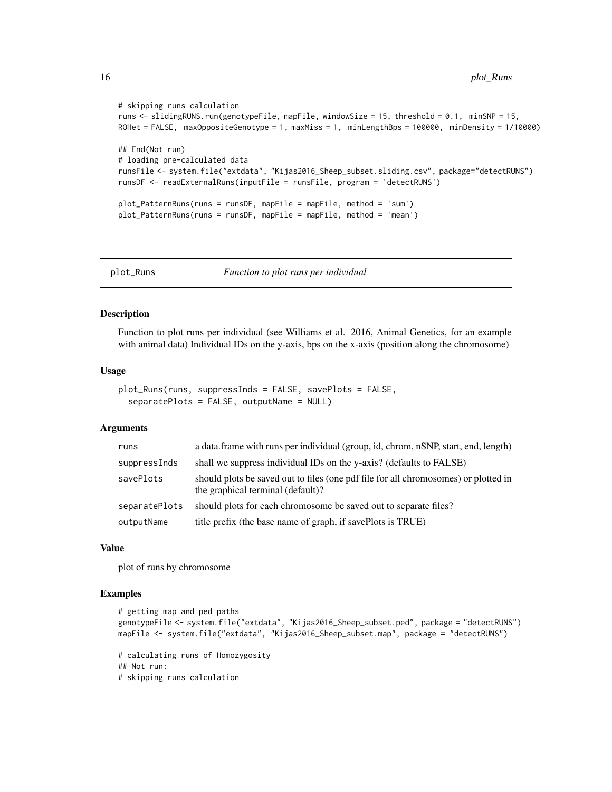```
# skipping runs calculation
runs <- slidingRUNS.run(genotypeFile, mapFile, windowSize = 15, threshold = 0.1, minSNP = 15,
ROHet = FALSE, maxOppositeGenotype = 1, maxMiss = 1, minLengthBps = 100000, minDensity = 1/10000)
## End(Not run)
# loading pre-calculated data
runsFile <- system.file("extdata", "Kijas2016_Sheep_subset.sliding.csv", package="detectRUNS")
runsDF <- readExternalRuns(inputFile = runsFile, program = 'detectRUNS')
plot_PatternRuns(runs = runsDF, mapFile = mapFile, method = 'sum')
plot_PatternRuns(runs = runsDF, mapFile = mapFile, method = 'mean')
```
plot\_Runs *Function to plot runs per individual*

## Description

Function to plot runs per individual (see Williams et al. 2016, Animal Genetics, for an example with animal data) Individual IDs on the y-axis, bps on the x-axis (position along the chromosome)

#### Usage

```
plot_Runs(runs, suppressInds = FALSE, savePlots = FALSE,
  separatePlots = FALSE, outputName = NULL)
```
# Arguments

| runs          | a data.frame with runs per individual (group, id, chrom, nSNP, start, end, length)                                       |  |
|---------------|--------------------------------------------------------------------------------------------------------------------------|--|
| suppressInds  | shall we suppress individual IDs on the y-axis? (defaults to FALSE)                                                      |  |
| savePlots     | should plots be saved out to files (one pdf file for all chromosomes) or plotted in<br>the graphical terminal (default)? |  |
| separatePlots | should plots for each chromosome be saved out to separate files?                                                         |  |
| outputName    | title prefix (the base name of graph, if savePlots is TRUE)                                                              |  |

#### Value

plot of runs by chromosome

```
# getting map and ped paths
genotypeFile <- system.file("extdata", "Kijas2016_Sheep_subset.ped", package = "detectRUNS")
mapFile <- system.file("extdata", "Kijas2016_Sheep_subset.map", package = "detectRUNS")
# calculating runs of Homozygosity
## Not run:
# skipping runs calculation
```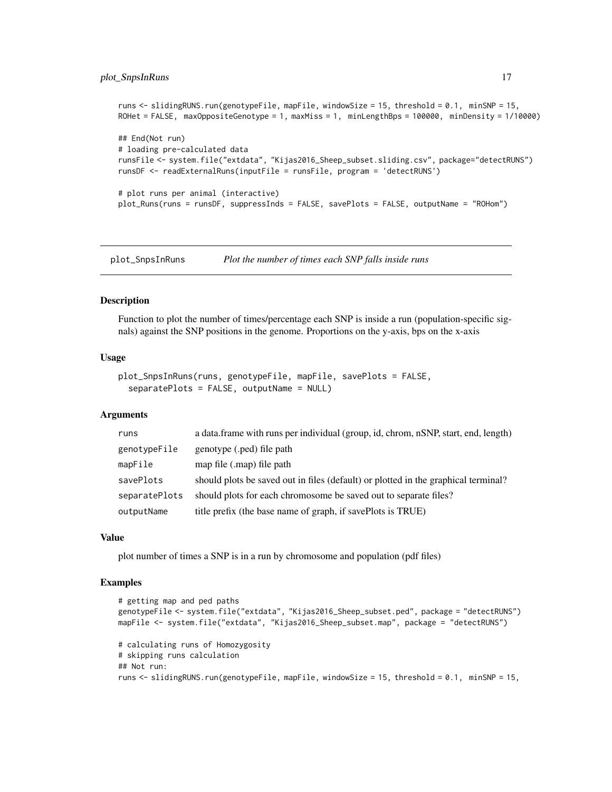```
runs <- slidingRUNS.run(genotypeFile, mapFile, windowSize = 15, threshold = 0.1, minSNP = 15,
ROHet = FALSE, maxOppositeGenotype = 1, maxMiss = 1, minLengthBps = 100000, minDensity = 1/10000)
## End(Not run)
# loading pre-calculated data
runsFile <- system.file("extdata", "Kijas2016_Sheep_subset.sliding.csv", package="detectRUNS")
runsDF <- readExternalRuns(inputFile = runsFile, program = 'detectRUNS')
# plot runs per animal (interactive)
plot_Runs(runs = runsDF, suppressInds = FALSE, savePlots = FALSE, outputName = "ROHom")
```
plot\_SnpsInRuns *Plot the number of times each SNP falls inside runs*

#### Description

Function to plot the number of times/percentage each SNP is inside a run (population-specific signals) against the SNP positions in the genome. Proportions on the y-axis, bps on the x-axis

#### Usage

```
plot_SnpsInRuns(runs, genotypeFile, mapFile, savePlots = FALSE,
  separatePlots = FALSE, outputName = NULL)
```
#### Arguments

| runs          | a data frame with runs per individual (group, id, chrom, nSNP, start, end, length) |  |  |
|---------------|------------------------------------------------------------------------------------|--|--|
| genotypeFile  | genotype (.ped) file path                                                          |  |  |
| mapFile       | map file (.map) file path                                                          |  |  |
| savePlots     | should plots be saved out in files (default) or plotted in the graphical terminal? |  |  |
| separatePlots | should plots for each chromosome be saved out to separate files?                   |  |  |
| outputName    | title prefix (the base name of graph, if savePlots is TRUE)                        |  |  |

#### Value

plot number of times a SNP is in a run by chromosome and population (pdf files)

```
# getting map and ped paths
genotypeFile <- system.file("extdata", "Kijas2016_Sheep_subset.ped", package = "detectRUNS")
mapFile <- system.file("extdata", "Kijas2016_Sheep_subset.map", package = "detectRUNS")
# calculating runs of Homozygosity
# skipping runs calculation
## Not run:
runs <- slidingRUNS.run(genotypeFile, mapFile, windowSize = 15, threshold = 0.1, minSNP = 15,
```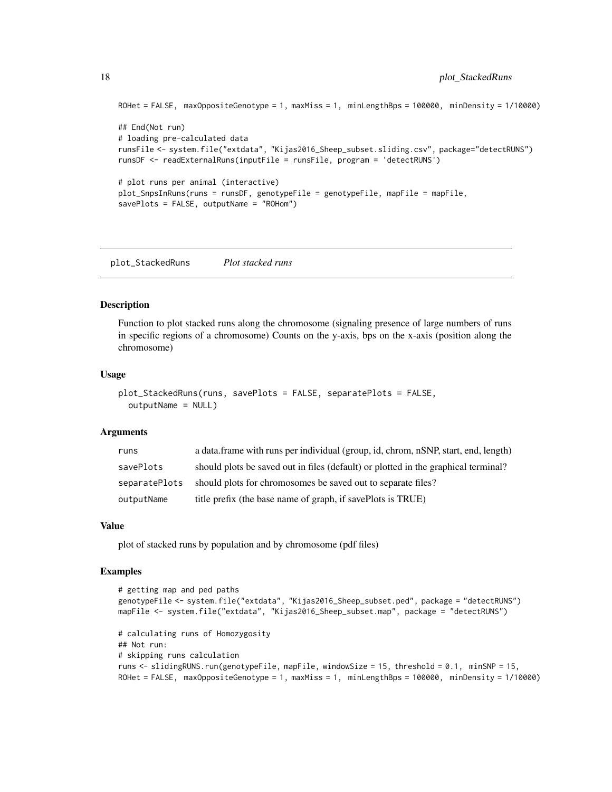```
ROHet = FALSE, maxOppositeGenotype = 1, maxMiss = 1, minLengthBps = 100000, minDensity = 1/10000)
## End(Not run)
# loading pre-calculated data
runsFile <- system.file("extdata", "Kijas2016_Sheep_subset.sliding.csv", package="detectRUNS")
runsDF <- readExternalRuns(inputFile = runsFile, program = 'detectRUNS')
# plot runs per animal (interactive)
plot_SnpsInRuns(runs = runsDF, genotypeFile = genotypeFile, mapFile = mapFile,
savePlots = FALSE, outputName = "ROHom")
```
plot\_StackedRuns *Plot stacked runs*

## Description

Function to plot stacked runs along the chromosome (signaling presence of large numbers of runs in specific regions of a chromosome) Counts on the y-axis, bps on the x-axis (position along the chromosome)

#### Usage

```
plot_StackedRuns(runs, savePlots = FALSE, separatePlots = FALSE,
 outputName = NULL)
```
#### Arguments

| runs          | a data frame with runs per individual (group, id, chrom, nSNP, start, end, length) |
|---------------|------------------------------------------------------------------------------------|
| savePlots     | should plots be saved out in files (default) or plotted in the graphical terminal? |
| separatePlots | should plots for chromosomes be saved out to separate files?                       |
| outputName    | title prefix (the base name of graph, if savePlots is TRUE)                        |

#### Value

plot of stacked runs by population and by chromosome (pdf files)

```
# getting map and ped paths
genotypeFile <- system.file("extdata", "Kijas2016_Sheep_subset.ped", package = "detectRUNS")
mapFile <- system.file("extdata", "Kijas2016_Sheep_subset.map", package = "detectRUNS")
# calculating runs of Homozygosity
## Not run:
# skipping runs calculation
runs <- slidingRUNS.run(genotypeFile, mapFile, windowSize = 15, threshold = 0.1, minSNP = 15,
ROHet = FALSE, maxOppositeGenotype = 1, maxMiss = 1, minLengthBps = 100000, minDensity = 1/10000)
```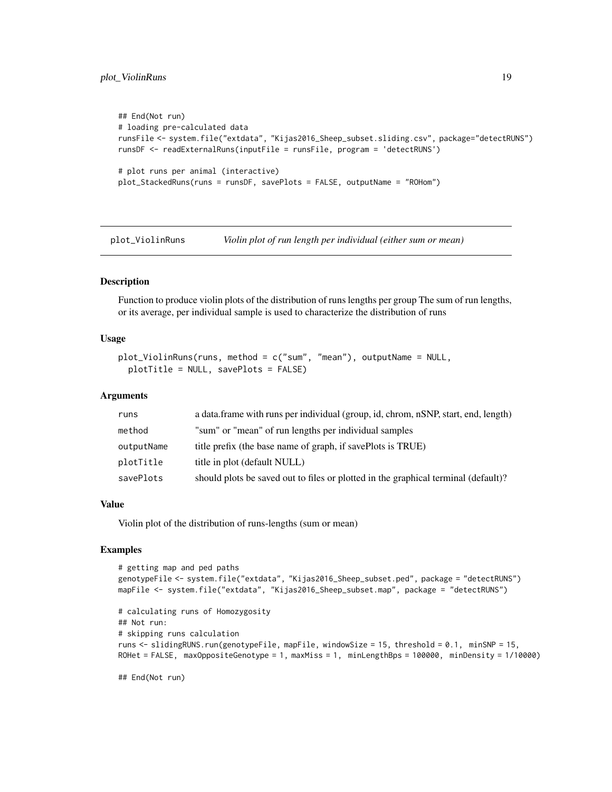# <span id="page-18-0"></span>plot\_ViolinRuns 19

```
## End(Not run)
# loading pre-calculated data
runsFile <- system.file("extdata", "Kijas2016_Sheep_subset.sliding.csv", package="detectRUNS")
runsDF <- readExternalRuns(inputFile = runsFile, program = 'detectRUNS')
# plot runs per animal (interactive)
plot_StackedRuns(runs = runsDF, savePlots = FALSE, outputName = "ROHom")
```
plot\_ViolinRuns *Violin plot of run length per individual (either sum or mean)*

## Description

Function to produce violin plots of the distribution of runs lengths per group The sum of run lengths, or its average, per individual sample is used to characterize the distribution of runs

## Usage

```
plot_ViolinRuns(runs, method = c("sum", "mean"), outputName = NULL,
 plotTitle = NULL, savePlots = FALSE)
```
## Arguments

| runs       | a data.frame with runs per individual (group, id, chrom, nSNP, start, end, length) |  |  |
|------------|------------------------------------------------------------------------------------|--|--|
| method     | "sum" or "mean" of run lengths per individual samples                              |  |  |
| outputName | title prefix (the base name of graph, if savePlots is TRUE)                        |  |  |
| plotTitle  | title in plot (default NULL)                                                       |  |  |
| savePlots  | should plots be saved out to files or plotted in the graphical terminal (default)? |  |  |

#### Value

Violin plot of the distribution of runs-lengths (sum or mean)

# Examples

```
# getting map and ped paths
genotypeFile <- system.file("extdata", "Kijas2016_Sheep_subset.ped", package = "detectRUNS")
mapFile <- system.file("extdata", "Kijas2016_Sheep_subset.map", package = "detectRUNS")
# calculating runs of Homozygosity
## Not run:
# skipping runs calculation
runs <- slidingRUNS.run(genotypeFile, mapFile, windowSize = 15, threshold = 0.1, minSNP = 15,
ROHet = FALSE, maxOppositeGenotype = 1, maxMiss = 1, minLengthBps = 100000, minDensity = 1/10000)
```
## End(Not run)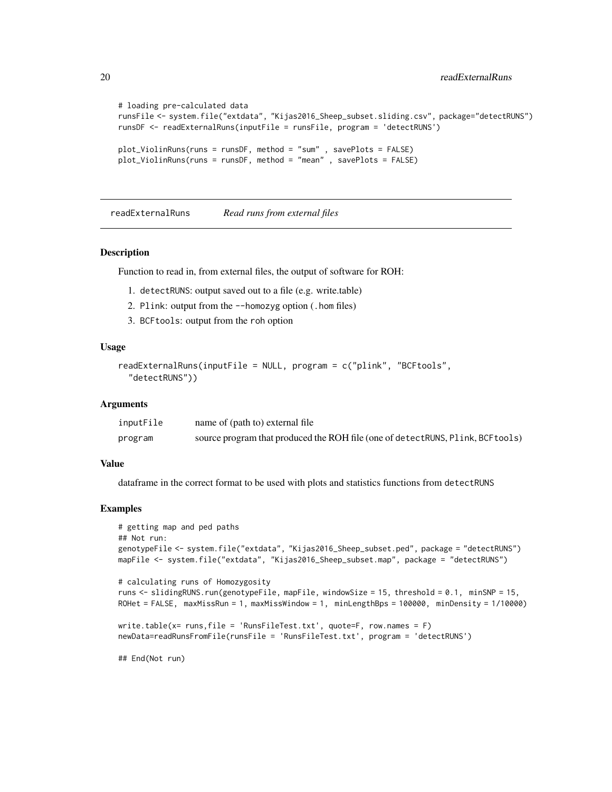```
# loading pre-calculated data
runsFile <- system.file("extdata", "Kijas2016_Sheep_subset.sliding.csv", package="detectRUNS")
runsDF <- readExternalRuns(inputFile = runsFile, program = 'detectRUNS')
plot_ViolinRuns(runs = runsDF, method = "sum" , savePlots = FALSE)
plot_ViolinRuns(runs = runsDF, method = "mean" , savePlots = FALSE)
```
readExternalRuns *Read runs from external files*

#### Description

Function to read in, from external files, the output of software for ROH:

- 1. detectRUNS: output saved out to a file (e.g. write.table)
- 2. Plink: output from the --homozyg option (.hom files)
- 3. BCFtools: output from the roh option

# Usage

```
readExternalRuns(inputFile = NULL, program = c("plink", "BCFtools",
  "detectRUNS"))
```
## Arguments

| inputFile | name of (path to) external file                                                  |
|-----------|----------------------------------------------------------------------------------|
| program   | source program that produced the ROH file (one of detect RUNS, Plink, BCF tools) |

#### Value

dataframe in the correct format to be used with plots and statistics functions from detectRUNS

```
# getting map and ped paths
## Not run:
genotypeFile <- system.file("extdata", "Kijas2016_Sheep_subset.ped", package = "detectRUNS")
mapFile <- system.file("extdata", "Kijas2016_Sheep_subset.map", package = "detectRUNS")
# calculating runs of Homozygosity
runs <- slidingRUNS.run(genotypeFile, mapFile, windowSize = 15, threshold = 0.1, minSNP = 15,
ROHet = FALSE, maxMissRun = 1, maxMissWindow = 1, minLengthBps = 100000, minDensity = 1/10000)
write.table(x= runs,file = 'RunsFileTest.txt', quote=F, row.names = F)
newData=readRunsFromFile(runsFile = 'RunsFileTest.txt', program = 'detectRUNS')
## End(Not run)
```
<span id="page-19-0"></span>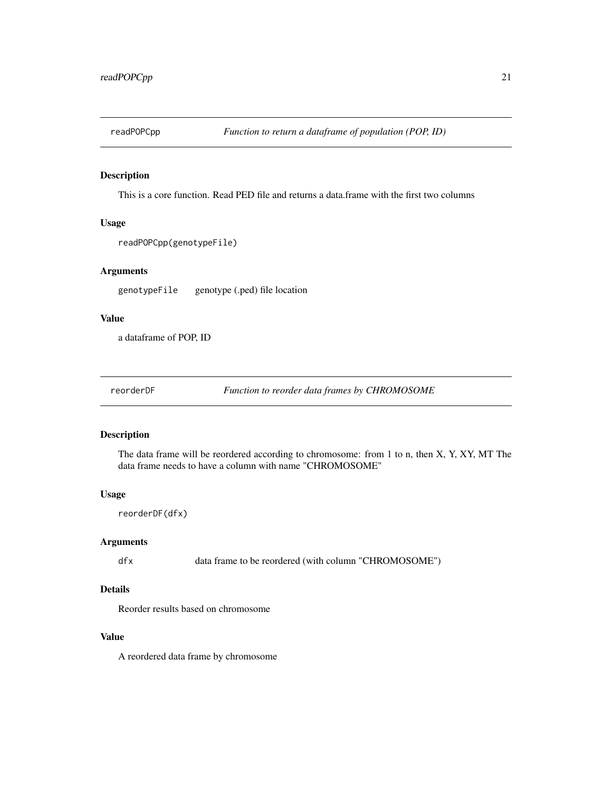<span id="page-20-0"></span>

# Description

This is a core function. Read PED file and returns a data.frame with the first two columns

## Usage

```
readPOPCpp(genotypeFile)
```
# Arguments

genotypeFile genotype (.ped) file location

# Value

a dataframe of POP, ID

reorderDF *Function to reorder data frames by CHROMOSOME*

# Description

The data frame will be reordered according to chromosome: from 1 to n, then X, Y, XY, MT The data frame needs to have a column with name "CHROMOSOME"

# Usage

reorderDF(dfx)

# Arguments

dfx data frame to be reordered (with column "CHROMOSOME")

# Details

Reorder results based on chromosome

# Value

A reordered data frame by chromosome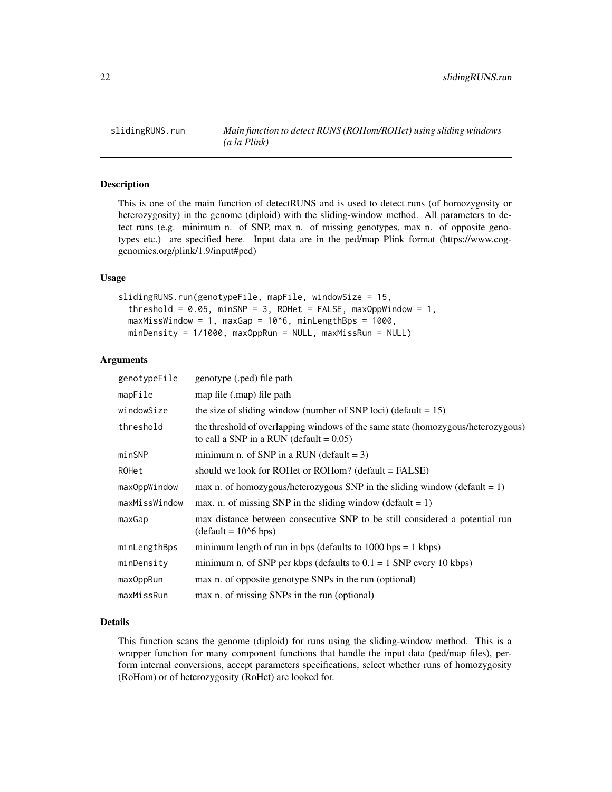<span id="page-21-0"></span>

## Description

This is one of the main function of detectRUNS and is used to detect runs (of homozygosity or heterozygosity) in the genome (diploid) with the sliding-window method. All parameters to detect runs (e.g. minimum n. of SNP, max n. of missing genotypes, max n. of opposite genotypes etc.) are specified here. Input data are in the ped/map Plink format (https://www.coggenomics.org/plink/1.9/input#ped)

## Usage

```
slidingRUNS.run(genotypeFile, mapFile, windowSize = 15,
  threshold = 0.05, minSNP = 3, ROHet = FALSE, maxOppWindow = 1,
 maxMissWindow = 1, maxGap = 10^6, minLengthBps = 1000,minDensity = 1/1000, maxOppRun = NULL, maxMissRun = NULL)
```
## Arguments

| genotypeFile  | genotype (.ped) file path                                                                                                      |  |  |
|---------------|--------------------------------------------------------------------------------------------------------------------------------|--|--|
| mapFile       | map file (.map) file path                                                                                                      |  |  |
| windowSize    | the size of sliding window (number of SNP loci) (default = $15$ )                                                              |  |  |
| threshold     | the threshold of overlapping windows of the same state (homozygous/heterozygous)<br>to call a SNP in a RUN (default = $0.05$ ) |  |  |
| minSNP        | minimum n. of SNP in a RUN (default $= 3$ )                                                                                    |  |  |
| ROHet         | should we look for ROHet or ROHom? (default = FALSE)                                                                           |  |  |
| maxOppWindow  | max n. of homozygous/heterozygous SNP in the sliding window (default = 1)                                                      |  |  |
| maxMissWindow | max. n. of missing SNP in the sliding window (default = $1$ )                                                                  |  |  |
| maxGap        | max distance between consecutive SNP to be still considered a potential run<br>$(detault = 106 bps)$                           |  |  |
| minLengthBps  | minimum length of run in bps (defaults to $1000$ bps = 1 kbps)                                                                 |  |  |
| minDensity    | minimum n. of SNP per kbps (defaults to $0.1 = 1$ SNP every 10 kbps)                                                           |  |  |
| maxOppRun     | max n. of opposite genotype SNPs in the run (optional)                                                                         |  |  |
| maxMissRun    | max n. of missing SNPs in the run (optional)                                                                                   |  |  |

## Details

This function scans the genome (diploid) for runs using the sliding-window method. This is a wrapper function for many component functions that handle the input data (ped/map files), perform internal conversions, accept parameters specifications, select whether runs of homozygosity (RoHom) or of heterozygosity (RoHet) are looked for.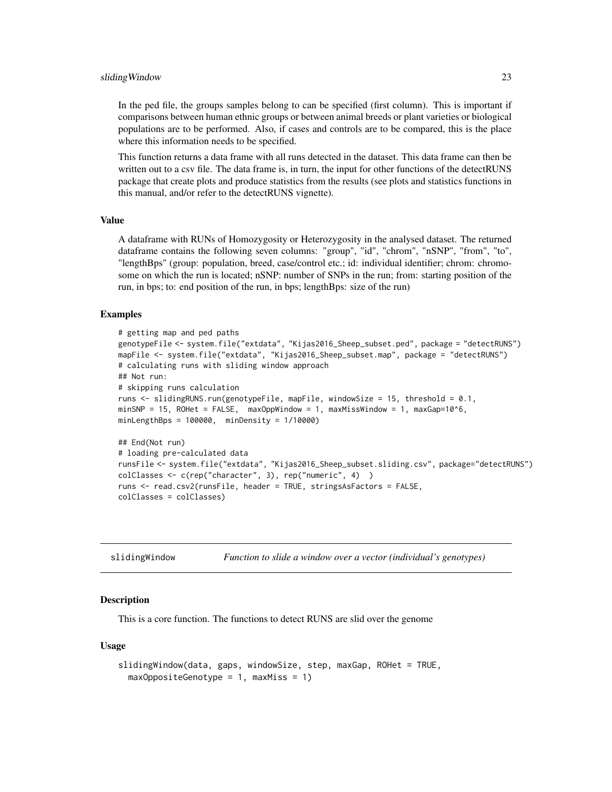#### <span id="page-22-0"></span>sliding Window 23

In the ped file, the groups samples belong to can be specified (first column). This is important if comparisons between human ethnic groups or between animal breeds or plant varieties or biological populations are to be performed. Also, if cases and controls are to be compared, this is the place where this information needs to be specified.

This function returns a data frame with all runs detected in the dataset. This data frame can then be written out to a csv file. The data frame is, in turn, the input for other functions of the detectRUNS package that create plots and produce statistics from the results (see plots and statistics functions in this manual, and/or refer to the detectRUNS vignette).

# Value

A dataframe with RUNs of Homozygosity or Heterozygosity in the analysed dataset. The returned dataframe contains the following seven columns: "group", "id", "chrom", "nSNP", "from", "to", "lengthBps" (group: population, breed, case/control etc.; id: individual identifier; chrom: chromosome on which the run is located; nSNP: number of SNPs in the run; from: starting position of the run, in bps; to: end position of the run, in bps; lengthBps: size of the run)

## Examples

```
# getting map and ped paths
genotypeFile <- system.file("extdata", "Kijas2016_Sheep_subset.ped", package = "detectRUNS")
mapFile <- system.file("extdata", "Kijas2016_Sheep_subset.map", package = "detectRUNS")
# calculating runs with sliding window approach
## Not run:
# skipping runs calculation
runs \le slidingRUNS.run(genotypeFile, mapFile, windowSize = 15, threshold = 0.1,
minSNP = 15, ROHet = FALSE, maxOppWindow = 1, maxMissWindow = 1, maxGap=10^6,
minLengthBps = 100000, minDensity = 1/10000)
## End(Not run)
# loading pre-calculated data
runsFile <- system.file("extdata", "Kijas2016_Sheep_subset.sliding.csv", package="detectRUNS")
colClasses <- c(rep("character", 3), rep("numeric", 4) )
runs <- read.csv2(runsFile, header = TRUE, stringsAsFactors = FALSE,
```

```
colClasses = colClasses)
```

| slidingWindow |  |  | Function to slide a window over a vector (individual's genotypes) |
|---------------|--|--|-------------------------------------------------------------------|
|---------------|--|--|-------------------------------------------------------------------|

## Description

This is a core function. The functions to detect RUNS are slid over the genome

#### Usage

```
slidingWindow(data, gaps, windowSize, step, maxGap, ROHet = TRUE,
 maxOppositeGenotype = 1, maxMiss = 1)
```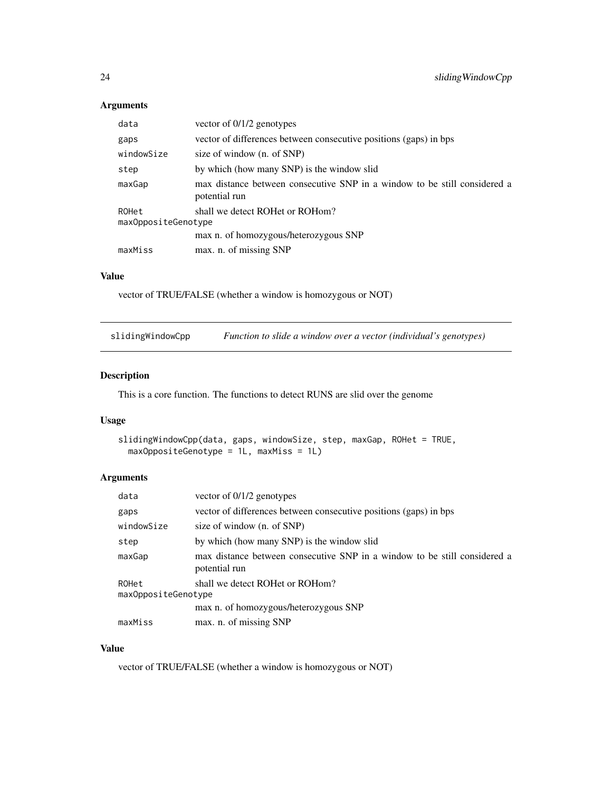# Arguments

| data                         | vector of $0/1/2$ genotypes                                                                |
|------------------------------|--------------------------------------------------------------------------------------------|
| gaps                         | vector of differences between consecutive positions (gaps) in bps                          |
| windowSize                   | size of window (n. of SNP)                                                                 |
| step                         | by which (how many SNP) is the window slid                                                 |
| maxGap                       | max distance between consecutive SNP in a window to be still considered a<br>potential run |
| ROHet<br>maxOppositeGenotype | shall we detect ROHet or ROHom?                                                            |
|                              | max n. of homozygous/heterozygous SNP                                                      |
| maxMiss                      | max. n. of missing SNP                                                                     |

# Value

vector of TRUE/FALSE (whether a window is homozygous or NOT)

slidingWindowCpp *Function to slide a window over a vector (individual's genotypes)*

# Description

This is a core function. The functions to detect RUNS are slid over the genome

# Usage

```
slidingWindowCpp(data, gaps, windowSize, step, maxGap, ROHet = TRUE,
 maxOppositeGenotype = 1L, maxMiss = 1L)
```
# Arguments

| data       | vector of $0/1/2$ genotypes                                                                |  |
|------------|--------------------------------------------------------------------------------------------|--|
| gaps       | vector of differences between consecutive positions (gaps) in bps                          |  |
| windowSize | size of window (n. of SNP)                                                                 |  |
| step       | by which (how many SNP) is the window slid                                                 |  |
| maxGap     | max distance between consecutive SNP in a window to be still considered a<br>potential run |  |
| ROHet      | shall we detect ROHet or ROHom?<br>maxOppositeGenotype                                     |  |
|            | max n. of homozygous/heterozygous SNP                                                      |  |
| maxMiss    | max. n. of missing SNP                                                                     |  |

# Value

vector of TRUE/FALSE (whether a window is homozygous or NOT)

<span id="page-23-0"></span>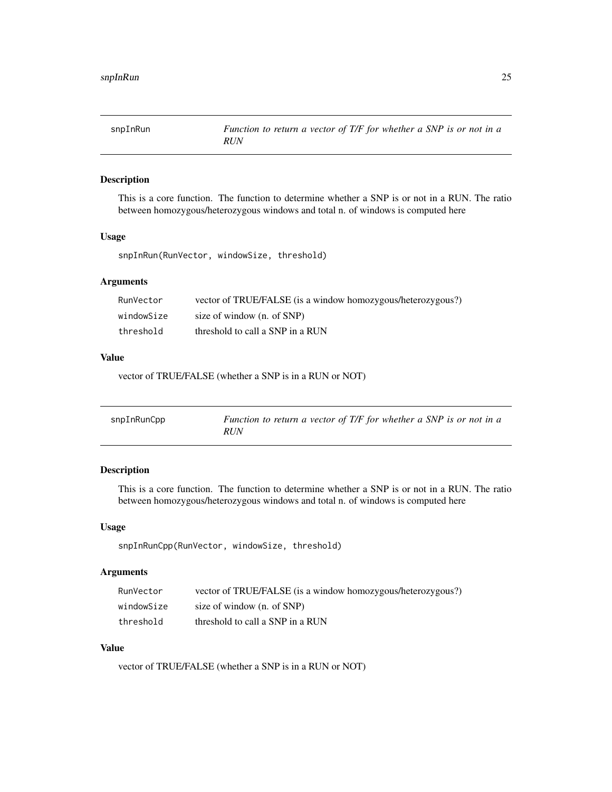<span id="page-24-0"></span>

# Description

This is a core function. The function to determine whether a SNP is or not in a RUN. The ratio between homozygous/heterozygous windows and total n. of windows is computed here

# Usage

snpInRun(RunVector, windowSize, threshold)

# Arguments

| RunVector  | vector of TRUE/FALSE (is a window homozygous/heterozygous?) |
|------------|-------------------------------------------------------------|
| windowSize | size of window (n. of SNP)                                  |
| threshold  | threshold to call a SNP in a RUN                            |

# Value

vector of TRUE/FALSE (whether a SNP is in a RUN or NOT)

| snpInRunCpp | Function to return a vector of T/F for whether a SNP is or not in a |
|-------------|---------------------------------------------------------------------|
|             | <i>RUN</i>                                                          |

# Description

This is a core function. The function to determine whether a SNP is or not in a RUN. The ratio between homozygous/heterozygous windows and total n. of windows is computed here

# Usage

snpInRunCpp(RunVector, windowSize, threshold)

# Arguments

| RunVector  | vector of TRUE/FALSE (is a window homozygous/heterozygous?) |
|------------|-------------------------------------------------------------|
| windowSize | size of window (n. of SNP)                                  |
| threshold  | threshold to call a SNP in a RUN                            |

# Value

vector of TRUE/FALSE (whether a SNP is in a RUN or NOT)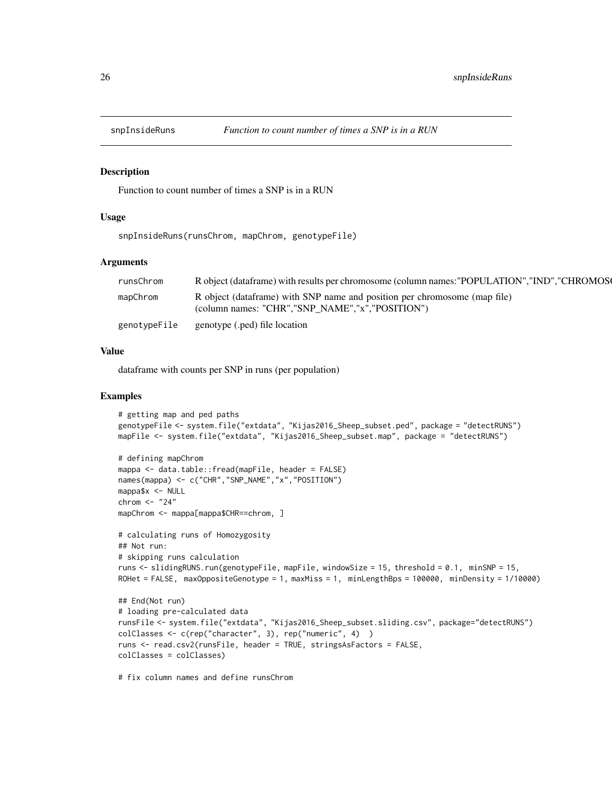<span id="page-25-0"></span>

## Description

Function to count number of times a SNP is in a RUN

## Usage

snpInsideRuns(runsChrom, mapChrom, genotypeFile)

## Arguments

| runsChrom    | R object (data frame) with results per chromosome (column names: "POPULATION", "IND", "CHROMOS                                  |
|--------------|---------------------------------------------------------------------------------------------------------------------------------|
| mapChrom     | R object (dataframe) with SNP name and position per chromosome (map file)<br>(column names: "CHR", "SNP NAME", "x", "POSITION") |
| genotypeFile | genotype (.ped) file location                                                                                                   |

# Value

dataframe with counts per SNP in runs (per population)

# Examples

```
# getting map and ped paths
genotypeFile <- system.file("extdata", "Kijas2016_Sheep_subset.ped", package = "detectRUNS")
mapFile <- system.file("extdata", "Kijas2016_Sheep_subset.map", package = "detectRUNS")
# defining mapChrom
mappa <- data.table::fread(mapFile, header = FALSE)
names(mappa) <- c("CHR","SNP_NAME","x","POSITION")
mappa$x <- NULL
chrom <- "24"
mapChrom <- mappa[mappa$CHR==chrom, ]
# calculating runs of Homozygosity
## Not run:
# skipping runs calculation
runs <- slidingRUNS.run(genotypeFile, mapFile, windowSize = 15, threshold = 0.1, minSNP = 15,
ROHet = FALSE, maxOppositeGenotype = 1, maxMiss = 1, minLengthBps = 100000, minDensity = 1/10000)
## End(Not run)
```

```
# loading pre-calculated data
runsFile <- system.file("extdata", "Kijas2016_Sheep_subset.sliding.csv", package="detectRUNS")
colClasses <- c(rep("character", 3), rep("numeric", 4) )
runs <- read.csv2(runsFile, header = TRUE, stringsAsFactors = FALSE,
colClasses = colClasses)
```
# fix column names and define runsChrom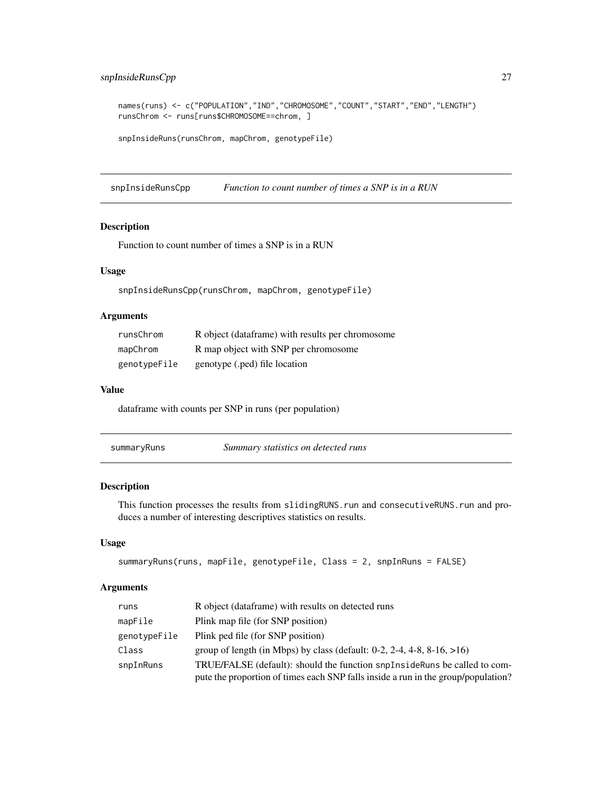# <span id="page-26-0"></span>snpInsideRunsCpp 27

```
names(runs) <- c("POPULATION","IND","CHROMOSOME","COUNT","START","END","LENGTH")
runsChrom <- runs[runs$CHROMOSOME==chrom, ]
```

```
snpInsideRuns(runsChrom, mapChrom, genotypeFile)
```
snpInsideRunsCpp *Function to count number of times a SNP is in a RUN*

## Description

Function to count number of times a SNP is in a RUN

## Usage

snpInsideRunsCpp(runsChrom, mapChrom, genotypeFile)

# Arguments

| runsChrom    | R object (dataframe) with results per chromosome |
|--------------|--------------------------------------------------|
| mapChrom     | R map object with SNP per chromosome             |
| genotypeFile | genotype (.ped) file location                    |

## Value

dataframe with counts per SNP in runs (per population)

| summarvRuns |
|-------------|
|-------------|

Summary statistics on detected runs

# Description

This function processes the results from slidingRUNS.run and consecutiveRUNS.run and produces a number of interesting descriptives statistics on results.

# Usage

```
summaryRuns(runs, mapFile, genotypeFile, Class = 2, snpInRuns = FALSE)
```
# Arguments

| runs         | R object (dataframe) with results on detected runs                                                                                                             |
|--------------|----------------------------------------------------------------------------------------------------------------------------------------------------------------|
| mapFile      | Plink map file (for SNP position)                                                                                                                              |
| genotypeFile | Plink ped file (for SNP position)                                                                                                                              |
| Class        | group of length (in Mbps) by class (default: $0-2$ , $2-4$ , $4-8$ , $8-16$ , $>16$ )                                                                          |
| snpInRuns    | TRUE/FALSE (default): should the function snpInsideRuns be called to com-<br>pute the proportion of times each SNP falls inside a run in the group/population? |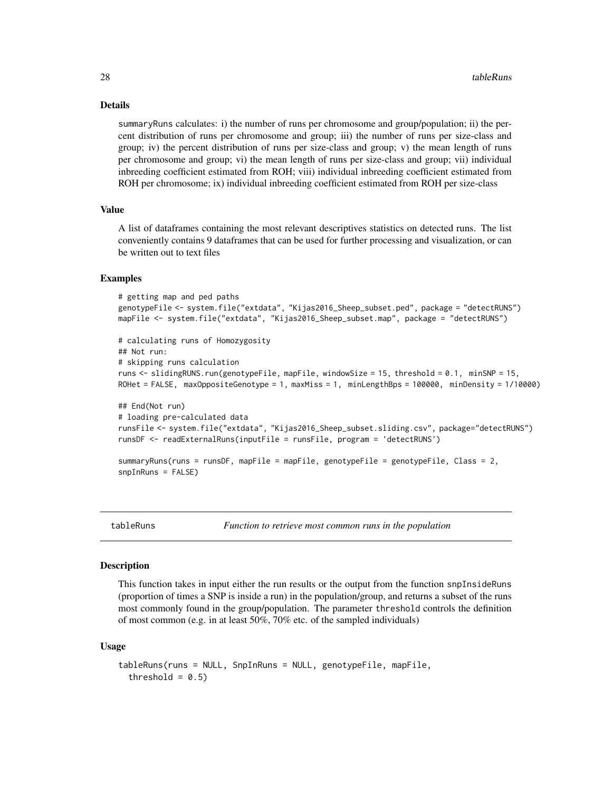## Details

summaryRuns calculates: i) the number of runs per chromosome and group/population; ii) the percent distribution of runs per chromosome and group; iii) the number of runs per size-class and group; iv) the percent distribution of runs per size-class and group; v) the mean length of runs per chromosome and group; vi) the mean length of runs per size-class and group; vii) individual inbreeding coefficient estimated from ROH; viii) individual inbreeding coefficient estimated from ROH per chromosome; ix) individual inbreeding coefficient estimated from ROH per size-class

## Value

A list of dataframes containing the most relevant descriptives statistics on detected runs. The list conveniently contains 9 dataframes that can be used for further processing and visualization, or can be written out to text files

## Examples

```
# getting map and ped paths
genotypeFile <- system.file("extdata", "Kijas2016_Sheep_subset.ped", package = "detectRUNS")
mapFile <- system.file("extdata", "Kijas2016_Sheep_subset.map", package = "detectRUNS")
# calculating runs of Homozygosity
## Not run:
# skipping runs calculation
runs <- slidingRUNS.run(genotypeFile, mapFile, windowSize = 15, threshold = 0.1, minSNP = 15,
ROHet = FALSE, maxOppositeGenotype = 1, maxMiss = 1, minLengthBps = 100000, minDensity = 1/10000)
## End(Not run)
# loading pre-calculated data
runsFile <- system.file("extdata", "Kijas2016_Sheep_subset.sliding.csv", package="detectRUNS")
runsDF <- readExternalRuns(inputFile = runsFile, program = 'detectRUNS')
summaryRuns(runs = runsDF, mapFile = mapFile, genotypeFile = genotypeFile, Class = 2,
snpInRuns = FALSE)
```
tableRuns *Function to retrieve most common runs in the population*

## Description

This function takes in input either the run results or the output from the function snpInsideRuns (proportion of times a SNP is inside a run) in the population/group, and returns a subset of the runs most commonly found in the group/population. The parameter threshold controls the definition of most common (e.g. in at least 50%, 70% etc. of the sampled individuals)

#### Usage

```
tableRuns(runs = NULL, SnpInRuns = NULL, genotypeFile, mapFile,
  threshold = 0.5)
```
<span id="page-27-0"></span>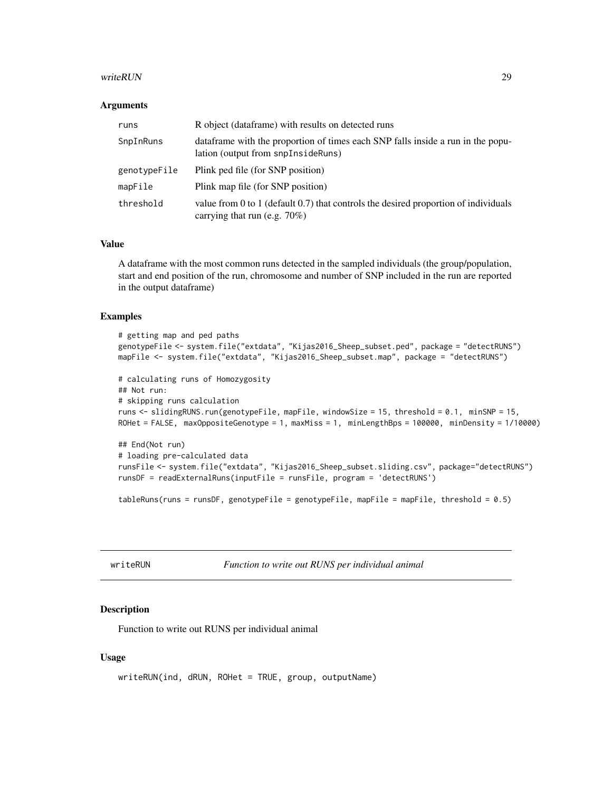#### <span id="page-28-0"></span>writeRUN 29

#### Arguments

| runs         | R object (dataframe) with results on detected runs                                                                         |
|--------------|----------------------------------------------------------------------------------------------------------------------------|
| SnpInRuns    | data frame with the proportion of times each SNP falls inside a run in the popu-<br>lation (output from snpInsideRuns)     |
| genotypeFile | Plink ped file (for SNP position)                                                                                          |
| mapFile      | Plink map file (for SNP position)                                                                                          |
| threshold    | value from 0 to 1 (default $0.7$ ) that controls the desired proportion of individuals<br>carrying that run (e.g. $70\%$ ) |

## Value

A dataframe with the most common runs detected in the sampled individuals (the group/population, start and end position of the run, chromosome and number of SNP included in the run are reported in the output dataframe)

## Examples

```
# getting map and ped paths
genotypeFile <- system.file("extdata", "Kijas2016_Sheep_subset.ped", package = "detectRUNS")
mapFile <- system.file("extdata", "Kijas2016_Sheep_subset.map", package = "detectRUNS")
# calculating runs of Homozygosity
## Not run:
# skipping runs calculation
runs <- slidingRUNS.run(genotypeFile, mapFile, windowSize = 15, threshold = 0.1, minSNP = 15,
ROHet = FALSE, maxOppositeGenotype = 1, maxMiss = 1, minLengthBps = 100000, minDensity = 1/10000)
## End(Not run)
# loading pre-calculated data
runsFile <- system.file("extdata", "Kijas2016_Sheep_subset.sliding.csv", package="detectRUNS")
runsDF = readExternalRuns(inputFile = runsFile, program = 'detectRUNS')
```
tableRuns(runs = runsDF, genotypeFile = genotypeFile, mapFile = mapFile, threshold = 0.5)

writeRUN *Function to write out RUNS per individual animal*

## Description

Function to write out RUNS per individual animal

## Usage

```
writeRUN(ind, dRUN, ROHet = TRUE, group, outputName)
```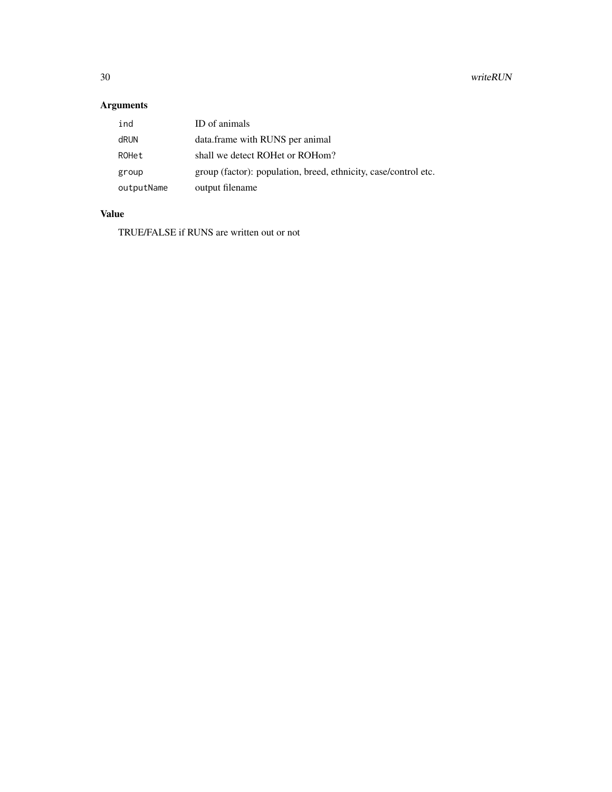# Arguments

| ind        | ID of animals                                                   |
|------------|-----------------------------------------------------------------|
| dRUN       | data.frame with RUNS per animal                                 |
| ROHet      | shall we detect ROHet or ROHom?                                 |
| group      | group (factor): population, breed, ethnicity, case/control etc. |
| outputName | output filename                                                 |

# Value

TRUE/FALSE if RUNS are written out or not